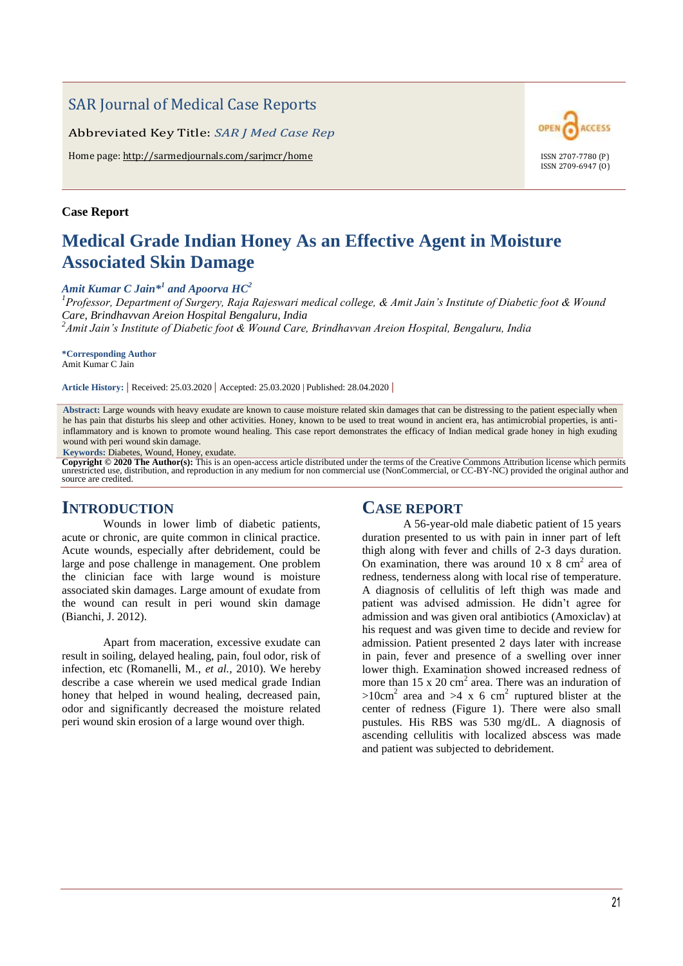## SAR Journal of Medical Case Reports

Abbreviated Key Title: *SAR J Med Case Rep*

Home page: http://sarmedjournals.com/sarjmcr/home ISSN 2707-7780 (P)

#### **Case Report**

# **Medical Grade Indian Honey As an Effective Agent in Moisture Associated Skin Damage**

#### *Amit Kumar C Jain\*<sup>1</sup> and Apoorva HC<sup>2</sup>*

*<sup>1</sup>Professor, Department of Surgery, Raja Rajeswari medical college, & Amit Jain's Institute of Diabetic foot & Wound Care, Brindhavvan Areion Hospital Bengaluru, India <sup>2</sup>Amit Jain's Institute of Diabetic foot & Wound Care, Brindhavvan Areion Hospital, Bengaluru, India*

**\*Corresponding Author** Amit Kumar C Jain

**Article History: |** Received: 25.03.2020 **|** Accepted: 25.03.2020 | Published: 28.04.2020 **|**

**Abstract:** Large wounds with heavy exudate are known to cause moisture related skin damages that can be distressing to the patient especially when he has pain that disturbs his sleep and other activities. Honey, known to be used to treat wound in ancient era, has antimicrobial properties, is antiinflammatory and is known to promote wound healing. This case report demonstrates the efficacy of Indian medical grade honey in high exuding wound with peri wound skin damage.

**Keywords:** Diabetes, Wound, Honey, exudate.

Copyright © 2020 The Author(s): This is an open-access article distributed under the terms of the Creative Commons Attribution license which permits unrestricted use, distribution, and reproduction in any medium for non co source are credited.

## **INTRODUCTION**

Wounds in lower limb of diabetic patients, acute or chronic, are quite common in clinical practice. Acute wounds, especially after debridement, could be large and pose challenge in management. One problem the clinician face with large wound is moisture associated skin damages. Large amount of exudate from the wound can result in peri wound skin damage (Bianchi, J. 2012).

Apart from maceration, excessive exudate can result in soiling, delayed healing, pain, foul odor, risk of infection, etc (Romanelli, M., *et al.,* 2010). We hereby describe a case wherein we used medical grade Indian honey that helped in wound healing, decreased pain, odor and significantly decreased the moisture related peri wound skin erosion of a large wound over thigh.

## **CASE REPORT**

A 56-year-old male diabetic patient of 15 years duration presented to us with pain in inner part of left thigh along with fever and chills of 2-3 days duration. On examination, there was around  $10 \times 8 \text{ cm}^2$  area of redness, tenderness along with local rise of temperature. A diagnosis of cellulitis of left thigh was made and patient was advised admission. He didn't agree for admission and was given oral antibiotics (Amoxiclav) at his request and was given time to decide and review for admission. Patient presented 2 days later with increase in pain, fever and presence of a swelling over inner lower thigh. Examination showed increased redness of more than  $15 \times 20$  cm<sup>2</sup> area. There was an induration of  $>10$ cm<sup>2</sup> area and  $>4 \times 6$  cm<sup>2</sup> ruptured blister at the center of redness (Figure 1). There were also small pustules. His RBS was 530 mg/dL. A diagnosis of ascending cellulitis with localized abscess was made and patient was subjected to debridement.

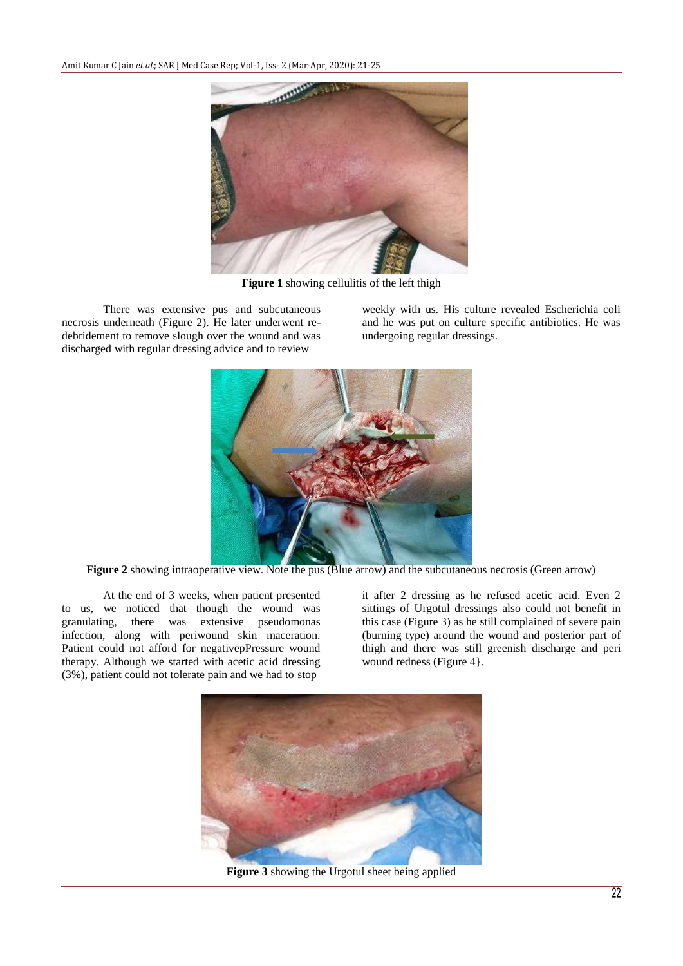

**Figure 1** showing cellulitis of the left thigh

There was extensive pus and subcutaneous necrosis underneath (Figure 2). He later underwent redebridement to remove slough over the wound and was discharged with regular dressing advice and to review

weekly with us. His culture revealed Escherichia coli and he was put on culture specific antibiotics. He was undergoing regular dressings.



**Figure 2** showing intraoperative view. Note the pus (Blue arrow) and the subcutaneous necrosis (Green arrow)

At the end of 3 weeks, when patient presented to us, we noticed that though the wound was granulating, there was extensive pseudomonas extensive pseudomonas infection, along with periwound skin maceration. Patient could not afford for negativepPressure wound therapy. Although we started with acetic acid dressing (3%), patient could not tolerate pain and we had to stop

it after 2 dressing as he refused acetic acid. Even 2 sittings of Urgotul dressings also could not benefit in this case (Figure 3) as he still complained of severe pain (burning type) around the wound and posterior part of thigh and there was still greenish discharge and peri wound redness (Figure 4).



**Figure 3** showing the Urgotul sheet being applied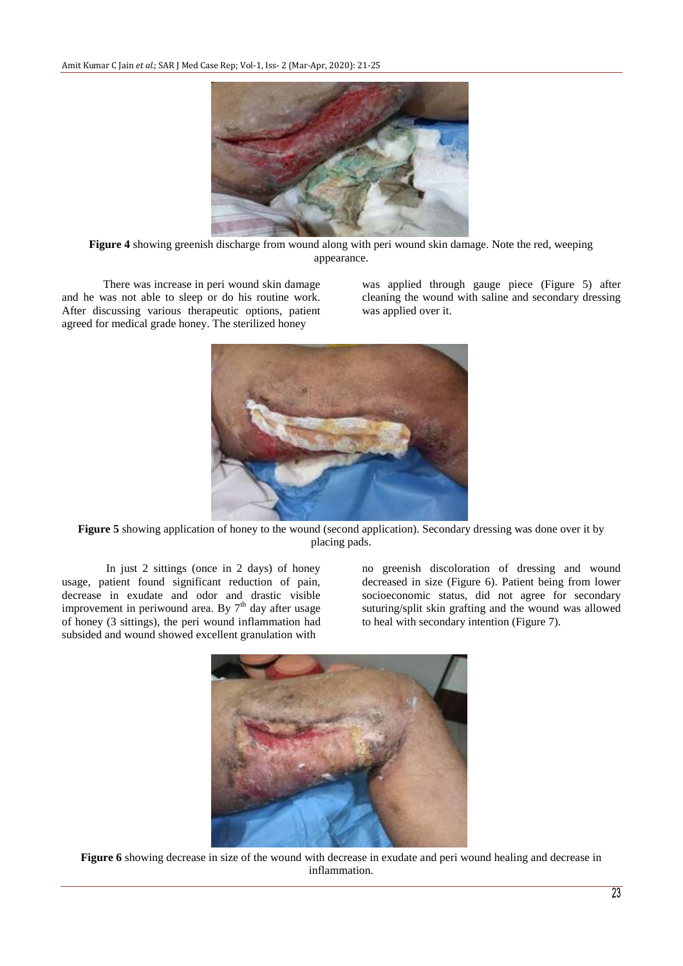

**Figure 4** showing greenish discharge from wound along with peri wound skin damage. Note the red, weeping appearance.

There was increase in peri wound skin damage and he was not able to sleep or do his routine work. After discussing various therapeutic options, patient agreed for medical grade honey. The sterilized honey

was applied through gauge piece (Figure 5) after cleaning the wound with saline and secondary dressing was applied over it.



**Figure 5** showing application of honey to the wound (second application). Secondary dressing was done over it by placing pads.

In just 2 sittings (once in 2 days) of honey usage, patient found significant reduction of pain, decrease in exudate and odor and drastic visible improvement in periwound area. By  $7<sup>th</sup>$  day after usage of honey (3 sittings), the peri wound inflammation had subsided and wound showed excellent granulation with

no greenish discoloration of dressing and wound decreased in size (Figure 6). Patient being from lower socioeconomic status, did not agree for secondary suturing/split skin grafting and the wound was allowed to heal with secondary intention (Figure 7).



**Figure 6** showing decrease in size of the wound with decrease in exudate and peri wound healing and decrease in inflammation.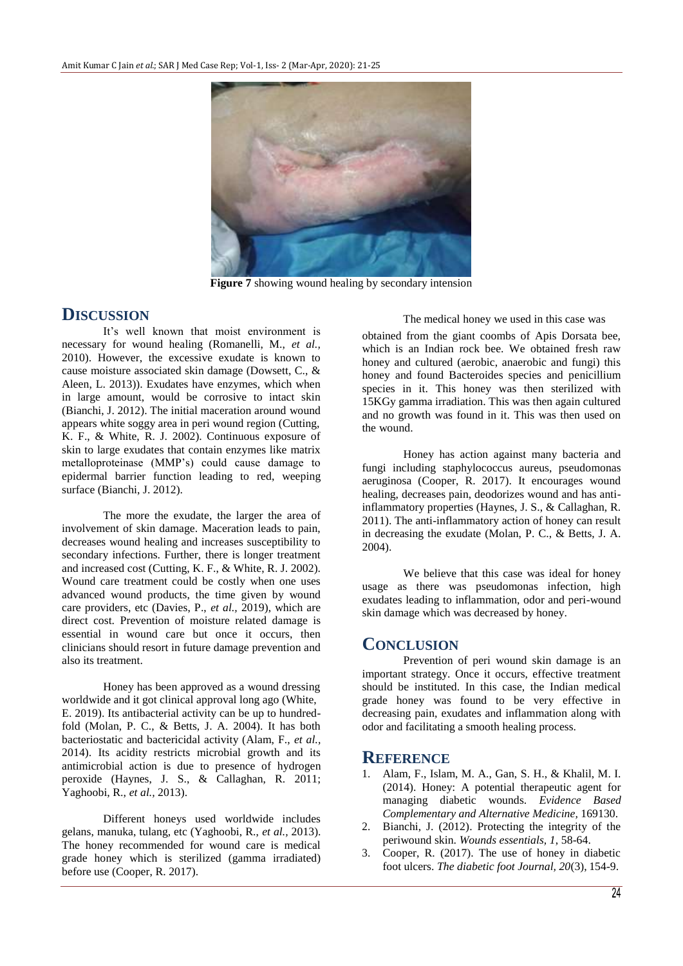

**Figure 7** showing wound healing by secondary intension

## **DISCUSSION**

It's well known that moist environment is necessary for wound healing (Romanelli, M., *et al.,*  2010). However, the excessive exudate is known to cause moisture associated skin damage (Dowsett, C., & Aleen, L. 2013)). Exudates have enzymes, which when in large amount, would be corrosive to intact skin (Bianchi, J. 2012). The initial maceration around wound appears white soggy area in peri wound region (Cutting, K. F., & White, R. J. 2002). Continuous exposure of skin to large exudates that contain enzymes like matrix metalloproteinase (MMP's) could cause damage to epidermal barrier function leading to red, weeping surface (Bianchi, J. 2012).

The more the exudate, the larger the area of involvement of skin damage. Maceration leads to pain, decreases wound healing and increases susceptibility to secondary infections. Further, there is longer treatment and increased cost (Cutting, K. F., & White, R. J. 2002). Wound care treatment could be costly when one uses advanced wound products, the time given by wound care providers, etc (Davies, P., *et al.,* 2019), which are direct cost. Prevention of moisture related damage is essential in wound care but once it occurs, then clinicians should resort in future damage prevention and also its treatment.

Honey has been approved as a wound dressing worldwide and it got clinical approval long ago (White, E. 2019). Its antibacterial activity can be up to hundredfold (Molan, P. C., & Betts, J. A. 2004). It has both bacteriostatic and bactericidal activity (Alam, F., *et al.,*  2014). Its acidity restricts microbial growth and its antimicrobial action is due to presence of hydrogen peroxide (Haynes, J. S., & Callaghan, R. 2011; Yaghoobi, R., *et al.,* 2013).

Different honeys used worldwide includes gelans, manuka, tulang, etc (Yaghoobi, R., *et al.,* 2013). The honey recommended for wound care is medical grade honey which is sterilized (gamma irradiated) before use (Cooper, R. 2017).

#### The medical honey we used in this case was

obtained from the giant coombs of Apis Dorsata bee, which is an Indian rock bee. We obtained fresh raw honey and cultured (aerobic, anaerobic and fungi) this honey and found Bacteroides species and penicillium species in it. This honey was then sterilized with 15KGy gamma irradiation. This was then again cultured and no growth was found in it. This was then used on the wound.

Honey has action against many bacteria and fungi including staphylococcus aureus, pseudomonas aeruginosa (Cooper, R. 2017). It encourages wound healing, decreases pain, deodorizes wound and has antiinflammatory properties (Haynes, J. S., & Callaghan, R. 2011). The anti-inflammatory action of honey can result in decreasing the exudate (Molan, P. C., & Betts, J. A. 2004).

We believe that this case was ideal for honey usage as there was pseudomonas infection, high exudates leading to inflammation, odor and peri-wound skin damage which was decreased by honey.

## **CONCLUSION**

Prevention of peri wound skin damage is an important strategy. Once it occurs, effective treatment should be instituted. In this case, the Indian medical grade honey was found to be very effective in decreasing pain, exudates and inflammation along with odor and facilitating a smooth healing process.

## **REFERENCE**

- 1. Alam, F., Islam, M. A., Gan, S. H., & Khalil, M. I. (2014). Honey: A potential therapeutic agent for managing diabetic wounds. *Evidence Based Complementary and Alternative Medicine,* 169130.
- 2. Bianchi, J. (2012). Protecting the integrity of the periwound skin. *Wounds essentials, 1*, 58-64.
- 3. Cooper, R. (2017). The use of honey in diabetic foot ulcers. *The diabetic foot Journal, 20*(3), 154-9.